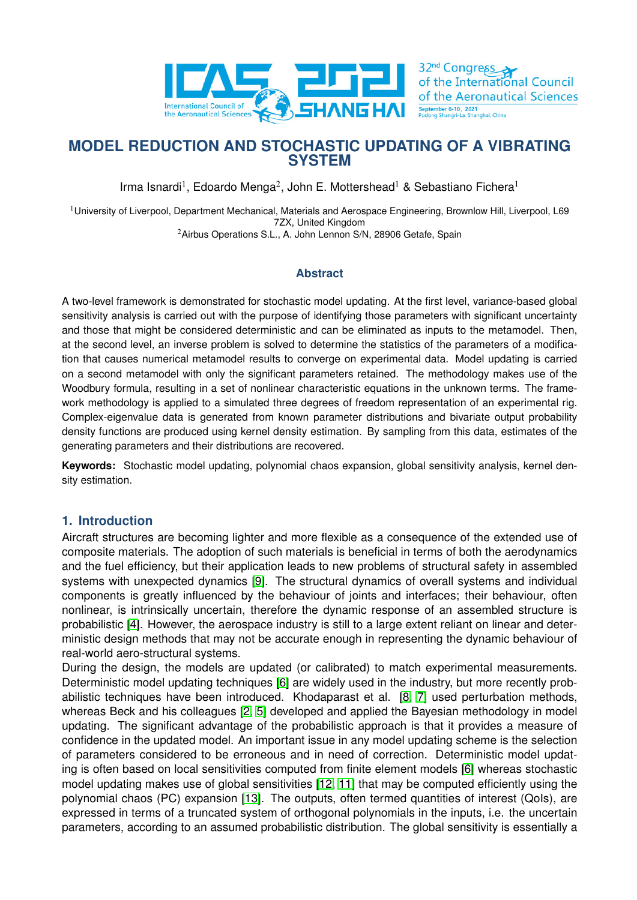

32<sup>nd</sup> Congress of the International Council of the Aeronautical Sciences September 6-10, 2021<br>Pudong Shangri-La Shan

# **MODEL REDUCTION AND STOCHASTIC UPDATING OF A VIBRATING SYSTEM**

Irma Isnardi<sup>1</sup>, Edoardo Menga<sup>2</sup>, John E. Mottershead<sup>1</sup> & Sebastiano Fichera<sup>1</sup>

<sup>1</sup>University of Liverpool, Department Mechanical, Materials and Aerospace Engineering, Brownlow Hill, Liverpool, L69 7ZX, United Kingdom

<sup>2</sup>Airbus Operations S.L., A. John Lennon S/N, 28906 Getafe, Spain

## **Abstract**

A two-level framework is demonstrated for stochastic model updating. At the first level, variance-based global sensitivity analysis is carried out with the purpose of identifying those parameters with significant uncertainty and those that might be considered deterministic and can be eliminated as inputs to the metamodel. Then, at the second level, an inverse problem is solved to determine the statistics of the parameters of a modification that causes numerical metamodel results to converge on experimental data. Model updating is carried on a second metamodel with only the significant parameters retained. The methodology makes use of the Woodbury formula, resulting in a set of nonlinear characteristic equations in the unknown terms. The framework methodology is applied to a simulated three degrees of freedom representation of an experimental rig. Complex-eigenvalue data is generated from known parameter distributions and bivariate output probability density functions are produced using kernel density estimation. By sampling from this data, estimates of the generating parameters and their distributions are recovered.

**Keywords:** Stochastic model updating, polynomial chaos expansion, global sensitivity analysis, kernel density estimation.

## **1. Introduction**

Aircraft structures are becoming lighter and more flexible as a consequence of the extended use of composite materials. The adoption of such materials is beneficial in terms of both the aerodynamics and the fuel efficiency, but their application leads to new problems of structural safety in assembled systems with unexpected dynamics [\[9\]](#page-8-0). The structural dynamics of overall systems and individual components is greatly influenced by the behaviour of joints and interfaces; their behaviour, often nonlinear, is intrinsically uncertain, therefore the dynamic response of an assembled structure is probabilistic [\[4\]](#page-7-0). However, the aerospace industry is still to a large extent reliant on linear and deterministic design methods that may not be accurate enough in representing the dynamic behaviour of real-world aero-structural systems.

During the design, the models are updated (or calibrated) to match experimental measurements. Deterministic model updating techniques [\[6\]](#page-7-1) are widely used in the industry, but more recently probabilistic techniques have been introduced. Khodaparast et al. [\[8,](#page-8-1) [7\]](#page-8-2) used perturbation methods, whereas Beck and his colleagues [\[2,](#page-7-2) [5\]](#page-7-3) developed and applied the Bayesian methodology in model updating. The significant advantage of the probabilistic approach is that it provides a measure of confidence in the updated model. An important issue in any model updating scheme is the selection of parameters considered to be erroneous and in need of correction. Deterministic model updating is often based on local sensitivities computed from finite element models [\[6\]](#page-7-1) whereas stochastic model updating makes use of global sensitivities [\[12,](#page-8-3) [11\]](#page-8-4) that may be computed efficiently using the polynomial chaos (PC) expansion [\[13\]](#page-8-5). The outputs, often termed quantities of interest (QoIs), are expressed in terms of a truncated system of orthogonal polynomials in the inputs, i.e. the uncertain parameters, according to an assumed probabilistic distribution. The global sensitivity is essentially a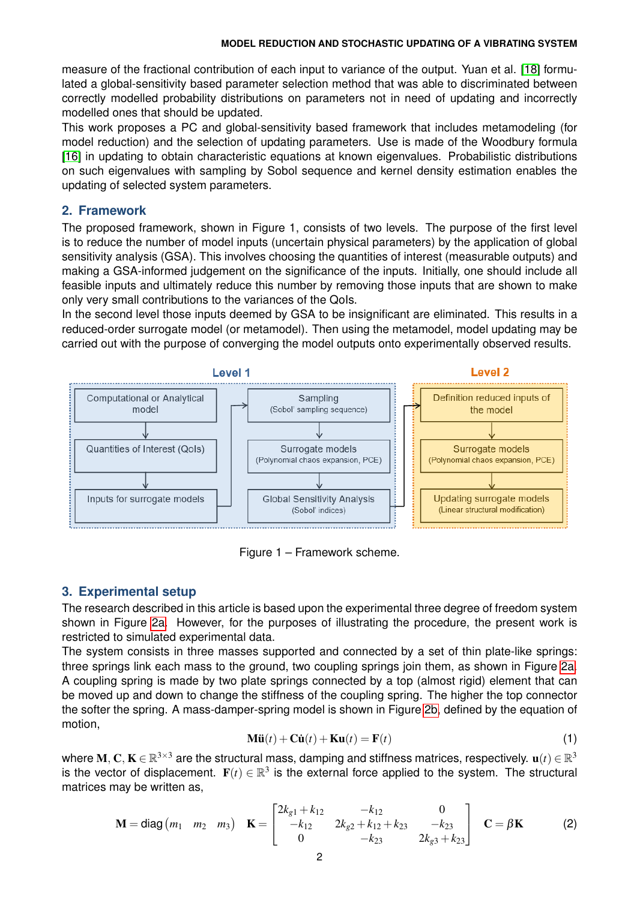measure of the fractional contribution of each input to variance of the output. Yuan et al. [\[18\]](#page-8-6) formulated a global-sensitivity based parameter selection method that was able to discriminated between correctly modelled probability distributions on parameters not in need of updating and incorrectly modelled ones that should be updated.

This work proposes a PC and global-sensitivity based framework that includes metamodeling (for model reduction) and the selection of updating parameters. Use is made of the Woodbury formula [\[16\]](#page-8-7) in updating to obtain characteristic equations at known eigenvalues. Probabilistic distributions on such eigenvalues with sampling by Sobol sequence and kernel density estimation enables the updating of selected system parameters.

### **2. Framework**

The proposed framework, shown in Figure 1, consists of two levels. The purpose of the first level is to reduce the number of model inputs (uncertain physical parameters) by the application of global sensitivity analysis (GSA). This involves choosing the quantities of interest (measurable outputs) and making a GSA-informed judgement on the significance of the inputs. Initially, one should include all feasible inputs and ultimately reduce this number by removing those inputs that are shown to make only very small contributions to the variances of the QoIs.

In the second level those inputs deemed by GSA to be insignificant are eliminated. This results in a reduced-order surrogate model (or metamodel). Then using the metamodel, model updating may be carried out with the purpose of converging the model outputs onto experimentally observed results.



Figure 1 – Framework scheme.

## **3. Experimental setup**

The research described in this article is based upon the experimental three degree of freedom system shown in Figure [2a.](#page-2-0) However, for the purposes of illustrating the procedure, the present work is restricted to simulated experimental data.

The system consists in three masses supported and connected by a set of thin plate-like springs: three springs link each mass to the ground, two coupling springs join them, as shown in Figure [2a.](#page-2-0) A coupling spring is made by two plate springs connected by a top (almost rigid) element that can be moved up and down to change the stiffness of the coupling spring. The higher the top connector the softer the spring. A mass-damper-spring model is shown in Figure [2b,](#page-2-0) defined by the equation of motion,

<span id="page-1-0"></span>
$$
\mathbf{M}\ddot{\mathbf{u}}(t) + \mathbf{C}\dot{\mathbf{u}}(t) + \mathbf{K}\mathbf{u}(t) = \mathbf{F}(t)
$$
\n(1)

where  $\bf{M},\bf{C},\bf{K}\in\mathbb{R}^{3\times3}$  are the structural mass, damping and stiffness matrices, respectively.  $\bf{u}(t)\in\mathbb{R}^{3}$ is the vector of displacement.  $\mathbf{F}(t) \in \mathbb{R}^3$  is the external force applied to the system. The structural matrices may be written as,

$$
\mathbf{M} = \text{diag}(m_1 \quad m_2 \quad m_3) \quad \mathbf{K} = \begin{bmatrix} 2k_{g1} + k_{12} & -k_{12} & 0 \\ -k_{12} & 2k_{g2} + k_{12} + k_{23} & -k_{23} \\ 0 & -k_{23} & 2k_{g3} + k_{23} \end{bmatrix} \quad \mathbf{C} = \beta \mathbf{K} \tag{2}
$$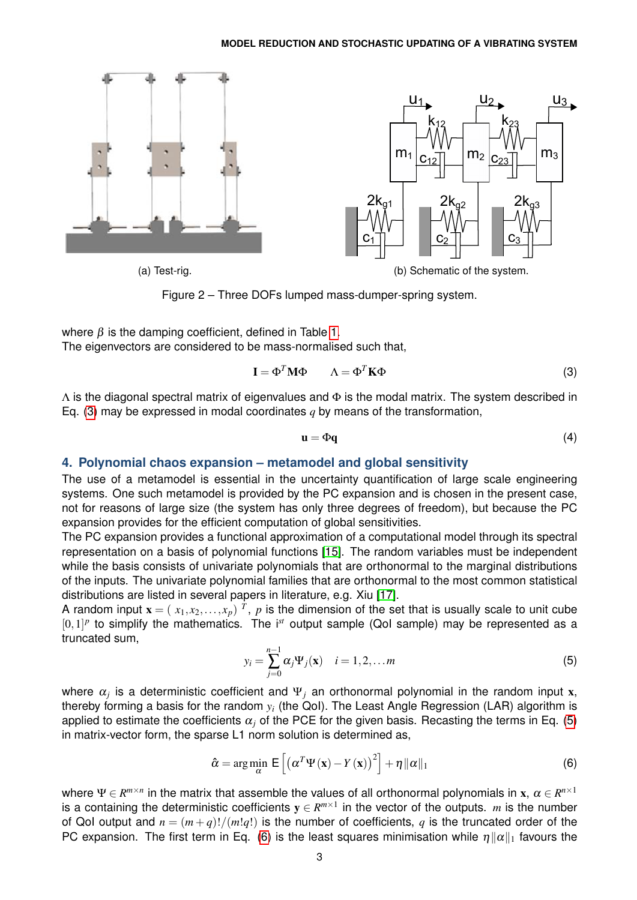<span id="page-2-0"></span>

Figure 2 – Three DOFs lumped mass-dumper-spring system.

where  $\beta$  is the damping coefficient, defined in Table [1.](#page-3-0)

The eigenvectors are considered to be mass-normalised such that,

$$
\mathbf{I} = \boldsymbol{\Phi}^T \mathbf{M} \boldsymbol{\Phi} \qquad \Lambda = \boldsymbol{\Phi}^T \mathbf{K} \boldsymbol{\Phi} \tag{3}
$$

 $\Lambda$  is the diagonal spectral matrix of eigenvalues and  $\Phi$  is the modal matrix. The system described in Eq. [\(3\)](#page-2-1) may be expressed in modal coordinates *q* by means of the transformation,

<span id="page-2-1"></span>
$$
\mathbf{u} = \Phi \mathbf{q} \tag{4}
$$

### **4. Polynomial chaos expansion – metamodel and global sensitivity**

The use of a metamodel is essential in the uncertainty quantification of large scale engineering systems. One such metamodel is provided by the PC expansion and is chosen in the present case, not for reasons of large size (the system has only three degrees of freedom), but because the PC expansion provides for the efficient computation of global sensitivities.

The PC expansion provides a functional approximation of a computational model through its spectral representation on a basis of polynomial functions [\[15\]](#page-8-8). The random variables must be independent while the basis consists of univariate polynomials that are orthonormal to the marginal distributions of the inputs. The univariate polynomial families that are orthonormal to the most common statistical distributions are listed in several papers in literature, e.g. Xiu [\[17\]](#page-8-9).

<span id="page-2-2"></span>A random input  $\mathbf{x} = (x_1, x_2, \ldots, x_p)$   $^T$ ,  $p$  is the dimension of the set that is usually scale to unit cube  $[0,1]^p$  to simplify the mathematics. The i<sup>st</sup> output sample (QoI sample) may be represented as a truncated sum,

<span id="page-2-3"></span>
$$
y_i = \sum_{j=0}^{n-1} \alpha_j \Psi_j(\mathbf{x}) \quad i = 1, 2, \dots m
$$
 (5)

where  $\alpha_j$  is a deterministic coefficient and  $\Psi_j$  an orthonormal polynomial in the random input x, thereby forming a basis for the random *y<sup>i</sup>* (the QoI). The Least Angle Regression (LAR) algorithm is applied to estimate the coefficients  $\alpha_i$  of the PCE for the given basis. Recasting the terms in Eq. [\(5\)](#page-2-2) in matrix-vector form, the sparse L1 norm solution is determined as,

$$
\hat{\alpha} = \arg\min_{\alpha} \mathsf{E}\left[\left(\alpha^T \Psi(\mathbf{x}) - Y(\mathbf{x})\right)^2\right] + \eta \|\alpha\|_1\tag{6}
$$

where  $\Psi\in R^{m\times n}$  in the matrix that assemble the values of all orthonormal polynomials in  ${\bf x},\ \alpha\in R^{n\times 1}$ is a containing the deterministic coefficients  $y \in R^{m \times 1}$  in the vector of the outputs. *m* is the number of QoI output and  $n = (m+q)!/(m!q!)$  is the number of coefficients, q is the truncated order of the PC expansion. The first term in Eq. [\(6\)](#page-2-3) is the least squares minimisation while  $\eta ||\alpha||_1$  favours the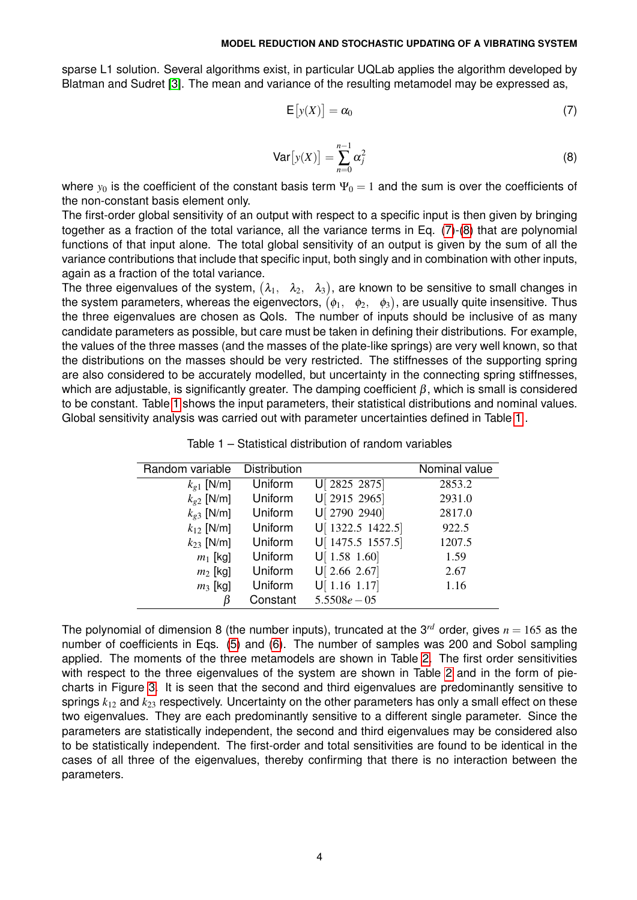sparse L1 solution. Several algorithms exist, in particular UQLab applies the algorithm developed by Blatman and Sudret [\[3\]](#page-7-4). The mean and variance of the resulting metamodel may be expressed as,

<span id="page-3-1"></span>
$$
\mathsf{E}\left[\mathbf{y}(X)\right] = \alpha_0 \tag{7}
$$

$$
\text{Var}\big[y(X)\big] = \sum_{n=0}^{n-1} \alpha_j^2 \tag{8}
$$

<span id="page-3-2"></span>where  $y_0$  is the coefficient of the constant basis term  $\Psi_0 = 1$  and the sum is over the coefficients of the non-constant basis element only.

The first-order global sensitivity of an output with respect to a specific input is then given by bringing together as a fraction of the total variance, all the variance terms in Eq. [\(7\)](#page-3-1)-[\(8\)](#page-3-2) that are polynomial functions of that input alone. The total global sensitivity of an output is given by the sum of all the variance contributions that include that specific input, both singly and in combination with other inputs, again as a fraction of the total variance.

The three eigenvalues of the system,  $(\lambda_1, \quad \lambda_2, \quad \lambda_3),$  are known to be sensitive to small changes in the system parameters, whereas the eigenvectors,  $(\phi_1, \quad \phi_2, \quad \phi_3),$  are usually quite insensitive. Thus the three eigenvalues are chosen as QoIs. The number of inputs should be inclusive of as many candidate parameters as possible, but care must be taken in defining their distributions. For example, the values of the three masses (and the masses of the plate-like springs) are very well known, so that the distributions on the masses should be very restricted. The stiffnesses of the supporting spring are also considered to be accurately modelled, but uncertainty in the connecting spring stiffnesses, which are adjustable, is significantly greater. The damping coefficient  $\beta$ , which is small is considered to be constant. Table [1](#page-3-0) shows the input parameters, their statistical distributions and nominal values. Global sensitivity analysis was carried out with parameter uncertainties defined in Table [1](#page-3-0) .

<span id="page-3-0"></span>

| Random variable       | Distribution |                   | Nominal value |
|-----------------------|--------------|-------------------|---------------|
| $k_{\varrho 1}$ [N/m] | Uniform      | U[ 2825 2875]     | 2853.2        |
| $k_{g2}$ [N/m]        | Uniform      | U[ 2915 2965]     | 2931.0        |
| $k_{g3}$ [N/m]        | Uniform      | U[ 2790 2940]     | 2817.0        |
| $k_{12}$ [N/m]        | Uniform      | U[ 1322.5 1422.5] | 922.5         |
| $k_{23}$ [N/m]        | Uniform      | U[ 1475.5 1557.5] | 1207.5        |
| $m_1$ [kg]            | Uniform      | U[1.58 1.60]      | 1.59          |
| $m_2$ [kg]            | Uniform      | U[ 2.66 2.67]     | 2.67          |
| $m_3$ [kg]            | Uniform      | U[1.16 1.17]      | 1.16          |
| β                     | Constant     | $5.5508e - 05$    |               |

Table 1 – Statistical distribution of random variables

The polynomial of dimension 8 (the number inputs), truncated at the 3<sup>rd</sup> order, gives  $n = 165$  as the number of coefficients in Eqs. [\(5\)](#page-2-2) and [\(6\)](#page-2-3). The number of samples was 200 and Sobol sampling applied. The moments of the three metamodels are shown in Table [2.](#page-4-0) The first order sensitivities with respect to the three eigenvalues of the system are shown in Table [2](#page-4-0) and in the form of piecharts in Figure [3.](#page-4-1) It is seen that the second and third eigenvalues are predominantly sensitive to springs *k*<sup>12</sup> and *k*<sup>23</sup> respectively. Uncertainty on the other parameters has only a small effect on these two eigenvalues. They are each predominantly sensitive to a different single parameter. Since the parameters are statistically independent, the second and third eigenvalues may be considered also to be statistically independent. The first-order and total sensitivities are found to be identical in the cases of all three of the eigenvalues, thereby confirming that there is no interaction between the parameters.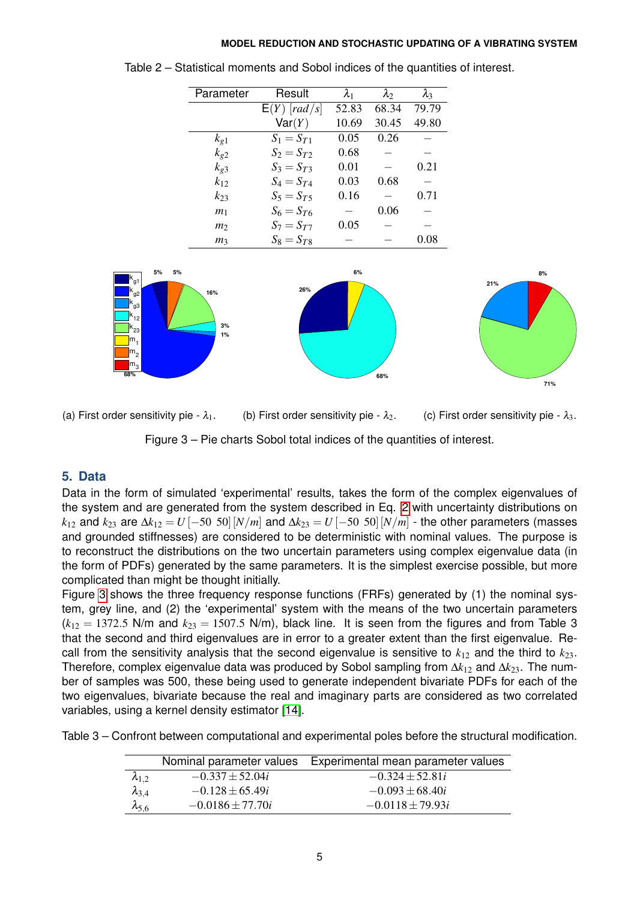| Parameter      | Result         | $\lambda_{1}$ | $\lambda_2$ | $\lambda_3$ |
|----------------|----------------|---------------|-------------|-------------|
|                | $E(Y)$ [rad/s] | 52.83         | 68.34       | 79.79       |
|                | Var(Y)         | 10.69         | 30.45       | 49.80       |
| $k_{g1}$       | $S_1 = S_{T1}$ | 0.05          | 0.26        |             |
| $k_{g2}$       | $S_2 = S_{T2}$ | 0.68          |             |             |
| $k_{g3}$       | $S_3 = S_{T3}$ | 0.01          |             | 0.21        |
| $k_{12}$       | $S_4 = S_{T4}$ | 0.03          | 0.68        |             |
| $k_{23}$       | $S_5 = S_{T5}$ | 0.16          |             | 0.71        |
| m <sub>1</sub> | $S_6 = S_{76}$ |               | 0.06        |             |
| m <sub>2</sub> | $S_7 = S_{T}$  | 0.05          |             |             |
| m <sub>3</sub> | $S_8 = S_{T8}$ |               |             | 0.08        |

<span id="page-4-0"></span>

<span id="page-4-1"></span>

(a) First order sensitivity pie -  $\lambda_1$ . (b) First order sensitivity pie -  $\lambda_2$ . (c) First order sensitivity pie -  $\lambda_3$ . Figure 3 – Pie charts Sobol total indices of the quantities of interest.

## **5. Data**

Data in the form of simulated 'experimental' results, takes the form of the complex eigenvalues of the system and are generated from the system described in Eq. [2](#page-1-0) with uncertainty distributions on *k*<sub>12</sub> and *k*<sub>23</sub> are  $\Delta k_{12} = U[-50, 50]$  [*N*/*m*] and  $\Delta k_{23} = U[-50, 50]$  [*N*/*m*] - the other parameters (masses and grounded stiffnesses) are considered to be deterministic with nominal values. The purpose is to reconstruct the distributions on the two uncertain parameters using complex eigenvalue data (in the form of PDFs) generated by the same parameters. It is the simplest exercise possible, but more complicated than might be thought initially.

Figure [3](#page-4-1) shows the three frequency response functions (FRFs) generated by (1) the nominal system, grey line, and (2) the 'experimental' system with the means of the two uncertain parameters  $(k_{12} = 1372.5$  N/m and  $k_{23} = 1507.5$  N/m), black line. It is seen from the figures and from Table 3 that the second and third eigenvalues are in error to a greater extent than the first eigenvalue. Recall from the sensitivity analysis that the second eigenvalue is sensitive to  $k_{12}$  and the third to  $k_{23}$ . Therefore, complex eigenvalue data was produced by Sobol sampling from ∆*k*<sup>12</sup> and ∆*k*23. The number of samples was 500, these being used to generate independent bivariate PDFs for each of the two eigenvalues, bivariate because the real and imaginary parts are considered as two correlated variables, using a kernel density estimator [\[14\]](#page-8-10).

Table 3 – Confront between computational and experimental poles before the structural modification.

|                 |                      | Nominal parameter values Experimental mean parameter values |
|-----------------|----------------------|-------------------------------------------------------------|
| $\lambda_{1.2}$ | $-0.337 \pm 52.04i$  | $-0.324 \pm 52.81i$                                         |
| $\lambda_{3,4}$ | $-0.128 \pm 65.49i$  | $-0.093 \pm 68.40i$                                         |
| $\lambda_{5,6}$ | $-0.0186 \pm 77.70i$ | $-0.0118 \pm 79.93i$                                        |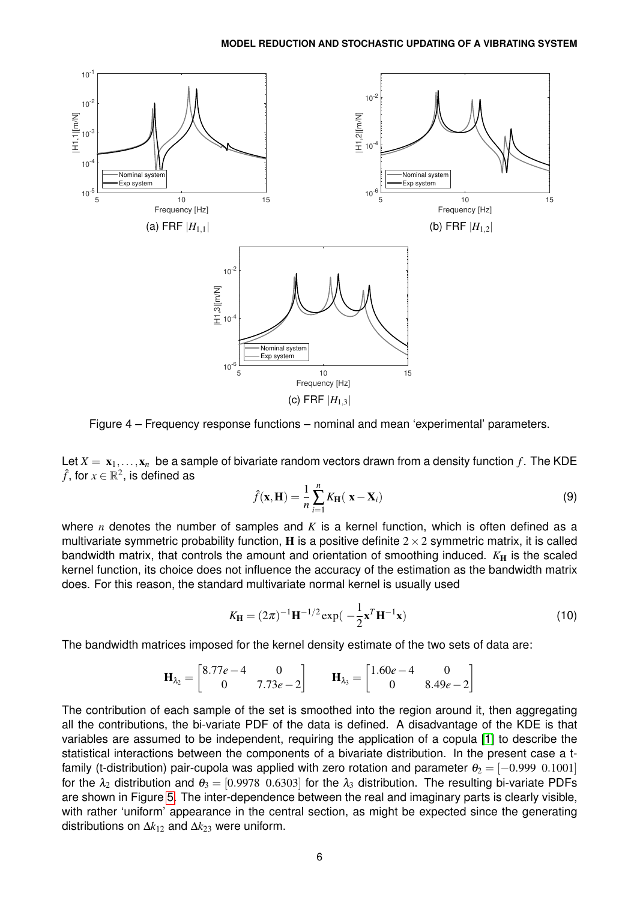

Figure 4 – Frequency response functions – nominal and mean 'experimental' parameters.

Let  $X = x_1, \ldots, x_n$  be a sample of bivariate random vectors drawn from a density function f. The KDE  $\hat{f}$ , for  $x\in\mathbb{R}^2,$  is defined as

$$
\hat{f}(\mathbf{x}, \mathbf{H}) = \frac{1}{n} \sum_{i=1}^{n} K_{\mathbf{H}}(\mathbf{x} - \mathbf{X}_i)
$$
\n(9)

where *n* denotes the number of samples and *K* is a kernel function, which is often defined as a multivariate symmetric probability function, **H** is a positive definite  $2 \times 2$  symmetric matrix, it is called bandwidth matrix, that controls the amount and orientation of smoothing induced.  $K_H$  is the scaled kernel function, its choice does not influence the accuracy of the estimation as the bandwidth matrix does. For this reason, the standard multivariate normal kernel is usually used

$$
K_{\mathbf{H}} = (2\pi)^{-1} \mathbf{H}^{-1/2} \exp(-\frac{1}{2} \mathbf{x}^T \mathbf{H}^{-1} \mathbf{x})
$$
 (10)

The bandwidth matrices imposed for the kernel density estimate of the two sets of data are:

$$
\mathbf{H}_{\lambda_2} = \begin{bmatrix} 8.77e - 4 & 0 \\ 0 & 7.73e - 2 \end{bmatrix} \qquad \mathbf{H}_{\lambda_3} = \begin{bmatrix} 1.60e - 4 & 0 \\ 0 & 8.49e - 2 \end{bmatrix}
$$

The contribution of each sample of the set is smoothed into the region around it, then aggregating all the contributions, the bi-variate PDF of the data is defined. A disadvantage of the KDE is that variables are assumed to be independent, requiring the application of a copula [\[1\]](#page-7-5) to describe the statistical interactions between the components of a bivariate distribution. In the present case a tfamily (t-distribution) pair-cupola was applied with zero rotation and parameter  $\theta_2 = [-0.999 \; 0.1001]$ for the  $\lambda_2$  distribution and  $\theta_3 = [0.9978 \ 0.6303]$  for the  $\lambda_3$  distribution. The resulting bi-variate PDFs are shown in Figure [5.](#page-6-0) The inter-dependence between the real and imaginary parts is clearly visible, with rather 'uniform' appearance in the central section, as might be expected since the generating distributions on ∆*k*<sup>12</sup> and ∆*k*<sup>23</sup> were uniform.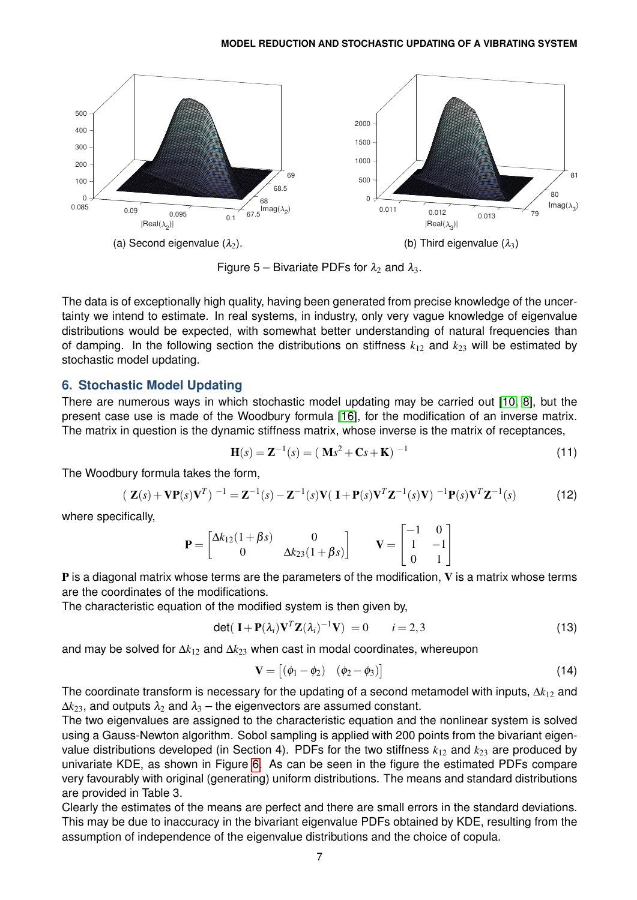<span id="page-6-0"></span>

Figure 5 – Bivariate PDFs for  $\lambda_2$  and  $\lambda_3$ .

The data is of exceptionally high quality, having been generated from precise knowledge of the uncertainty we intend to estimate. In real systems, in industry, only very vague knowledge of eigenvalue distributions would be expected, with somewhat better understanding of natural frequencies than of damping. In the following section the distributions on stiffness  $k_{12}$  and  $k_{23}$  will be estimated by stochastic model updating.

### **6. Stochastic Model Updating**

There are numerous ways in which stochastic model updating may be carried out [\[10,](#page-8-11) [8\]](#page-8-1), but the present case use is made of the Woodbury formula [\[16\]](#page-8-7), for the modification of an inverse matrix. The matrix in question is the dynamic stiffness matrix, whose inverse is the matrix of receptances,

$$
\mathbf{H}(s) = \mathbf{Z}^{-1}(s) = (\mathbf{M}s^2 + \mathbf{C}s + \mathbf{K})^{-1}
$$
 (11)

The Woodbury formula takes the form,

$$
(\mathbf{Z}(s) + \mathbf{V}\mathbf{P}(s)\mathbf{V}^T)^{-1} = \mathbf{Z}^{-1}(s) - \mathbf{Z}^{-1}(s)\mathbf{V}(\mathbf{I} + \mathbf{P}(s)\mathbf{V}^T\mathbf{Z}^{-1}(s)\mathbf{V})^{-1}\mathbf{P}(s)\mathbf{V}^T\mathbf{Z}^{-1}(s)
$$
(12)

where specifically,

$$
\mathbf{P} = \begin{bmatrix} \Delta k_{12} (1 + \beta s) & 0 \\ 0 & \Delta k_{23} (1 + \beta s) \end{bmatrix} \qquad \mathbf{V} = \begin{bmatrix} -1 & 0 \\ 1 & -1 \\ 0 & 1 \end{bmatrix}
$$

 $P$  is a diagonal matrix whose terms are the parameters of the modification,  $V$  is a matrix whose terms are the coordinates of the modifications.

The characteristic equation of the modified system is then given by,

$$
\det(\mathbf{I} + \mathbf{P}(\lambda_i)\mathbf{V}^T\mathbf{Z}(\lambda_i)^{-1}\mathbf{V}) = 0 \qquad i = 2,3 \tag{13}
$$

and may be solved for ∆*k*<sup>12</sup> and ∆*k*<sup>23</sup> when cast in modal coordinates, whereupon

$$
\mathbf{V} = \begin{bmatrix} (\phi_1 - \phi_2) & (\phi_2 - \phi_3) \end{bmatrix} \tag{14}
$$

The coordinate transform is necessary for the updating of a second metamodel with inputs, ∆*k*<sup>12</sup> and  $\Delta k_{23}$ , and outputs  $\lambda_2$  and  $\lambda_3$  – the eigenvectors are assumed constant.

The two eigenvalues are assigned to the characteristic equation and the nonlinear system is solved using a Gauss-Newton algorithm. Sobol sampling is applied with 200 points from the bivariant eigenvalue distributions developed (in Section 4). PDFs for the two stiffness  $k_{12}$  and  $k_{23}$  are produced by univariate KDE, as shown in Figure [6.](#page-7-6) As can be seen in the figure the estimated PDFs compare very favourably with original (generating) uniform distributions. The means and standard distributions are provided in Table 3.

Clearly the estimates of the means are perfect and there are small errors in the standard deviations. This may be due to inaccuracy in the bivariant eigenvalue PDFs obtained by KDE, resulting from the assumption of independence of the eigenvalue distributions and the choice of copula.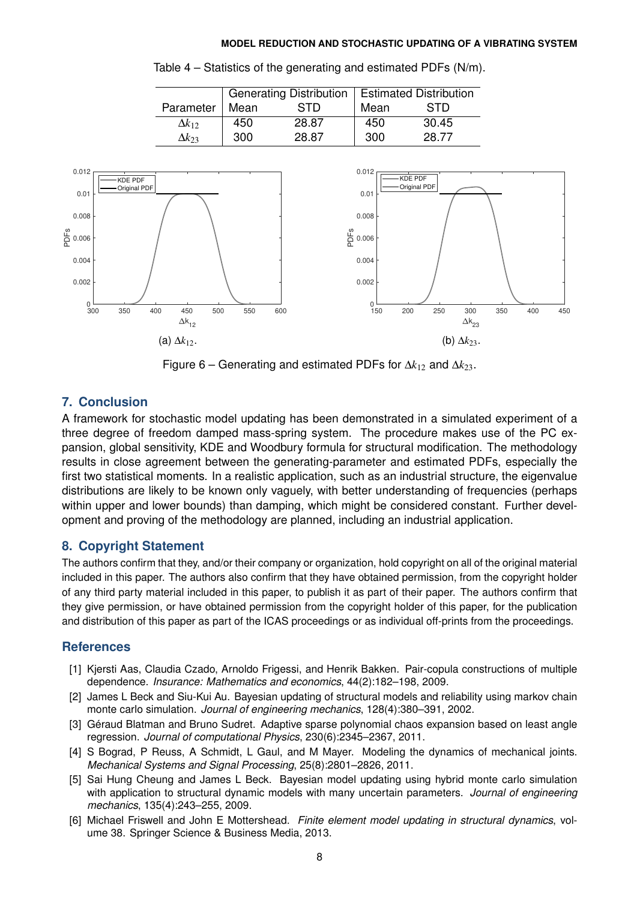|                 | Generating Distribution   Estimated Distribution |       |      |       |
|-----------------|--------------------------------------------------|-------|------|-------|
| Parameter       | Mean                                             | STD   | Mean | STD   |
| $\Delta k_{12}$ | 450                                              | 28.87 | 450  | 30.45 |
| $\Delta k_{23}$ | 300                                              | 28.87 | 300  | 28.77 |

<span id="page-7-6"></span>

Table 4 – Statistics of the generating and estimated PDFs (N/m).

Figure 6 – Generating and estimated PDFs for ∆*k*<sup>12</sup> and ∆*k*23.

## **7. Conclusion**

A framework for stochastic model updating has been demonstrated in a simulated experiment of a three degree of freedom damped mass-spring system. The procedure makes use of the PC expansion, global sensitivity, KDE and Woodbury formula for structural modification. The methodology results in close agreement between the generating-parameter and estimated PDFs, especially the first two statistical moments. In a realistic application, such as an industrial structure, the eigenvalue distributions are likely to be known only vaguely, with better understanding of frequencies (perhaps within upper and lower bounds) than damping, which might be considered constant. Further development and proving of the methodology are planned, including an industrial application.

## **8. Copyright Statement**

The authors confirm that they, and/or their company or organization, hold copyright on all of the original material included in this paper. The authors also confirm that they have obtained permission, from the copyright holder of any third party material included in this paper, to publish it as part of their paper. The authors confirm that they give permission, or have obtained permission from the copyright holder of this paper, for the publication and distribution of this paper as part of the ICAS proceedings or as individual off-prints from the proceedings.

## **References**

- <span id="page-7-5"></span>[1] Kjersti Aas, Claudia Czado, Arnoldo Frigessi, and Henrik Bakken. Pair-copula constructions of multiple dependence. *Insurance: Mathematics and economics*, 44(2):182–198, 2009.
- <span id="page-7-2"></span>[2] James L Beck and Siu-Kui Au. Bayesian updating of structural models and reliability using markov chain monte carlo simulation. *Journal of engineering mechanics*, 128(4):380–391, 2002.
- <span id="page-7-4"></span>[3] Géraud Blatman and Bruno Sudret. Adaptive sparse polynomial chaos expansion based on least angle regression. *Journal of computational Physics*, 230(6):2345–2367, 2011.
- <span id="page-7-0"></span>[4] S Bograd, P Reuss, A Schmidt, L Gaul, and M Mayer. Modeling the dynamics of mechanical joints. *Mechanical Systems and Signal Processing*, 25(8):2801–2826, 2011.
- <span id="page-7-3"></span>[5] Sai Hung Cheung and James L Beck. Bayesian model updating using hybrid monte carlo simulation with application to structural dynamic models with many uncertain parameters. *Journal of engineering mechanics*, 135(4):243–255, 2009.
- <span id="page-7-1"></span>[6] Michael Friswell and John E Mottershead. *Finite element model updating in structural dynamics*, volume 38. Springer Science & Business Media, 2013.